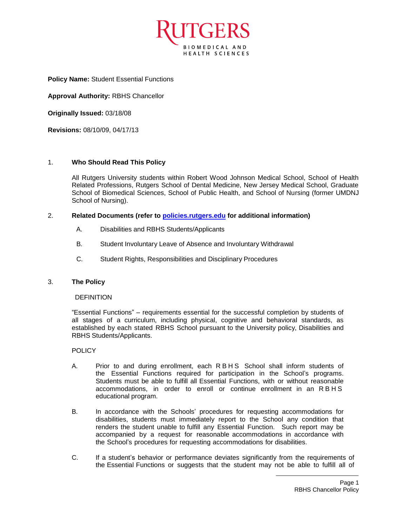

**Policy Name:** Student Essential Functions

**Approval Authority:** RBHS Chancellor

**Originally Issued:** 03/18/08

**Revisions:** 08/10/09, 04/17/13

# 1. **Who Should Read This Policy**

All Rutgers University students within Robert Wood Johnson Medical School, School of Health Related Professions, Rutgers School of Dental Medicine, New Jersey Medical School, Graduate School of Biomedical Sciences, School of Public Health, and School of Nursing (former UMDNJ School of Nursing).

# 2. **Related Documents (refer to [policies.rutgers.edu](file:///C:/Users/rsedlackpr001/Documents/Rutgers/Policies/RBHS%20Policies/policies.rutgers.edu) for additional information)**

- A. Disabilities and RBHS Students/Applicants
- B. Student Involuntary Leave of Absence and Involuntary Withdrawal
- C. Student Rights, Responsibilities and Disciplinary Procedures

# 3. **The Policy**

## **DEFINITION**

"Essential Functions" – requirements essential for the successful completion by students of all stages of a curriculum, including physical, cognitive and behavioral standards, as established by each stated RBHS School pursuant to the University policy, Disabilities and RBHS Students/Applicants.

#### **POLICY**

- A. Prior to and during enrollment, each RBHS School shall inform students of the Essential Functions required for participation in the School's programs. Students must be able to fulfill all Essential Functions, with or without reasonable accommodations, in order to enroll or continue enrollment in an R B H S educational program.
- B. In accordance with the Schools' procedures for requesting accommodations for disabilities, students must immediately report to the School any condition that renders the student unable to fulfill any Essential Function. Such report may be accompanied by a request for reasonable accommodations in accordance with the School's procedures for requesting accommodations for disabilities.
- C. If a student's behavior or performance deviates significantly from the requirements of the Essential Functions or suggests that the student may not be able to fulfill all of